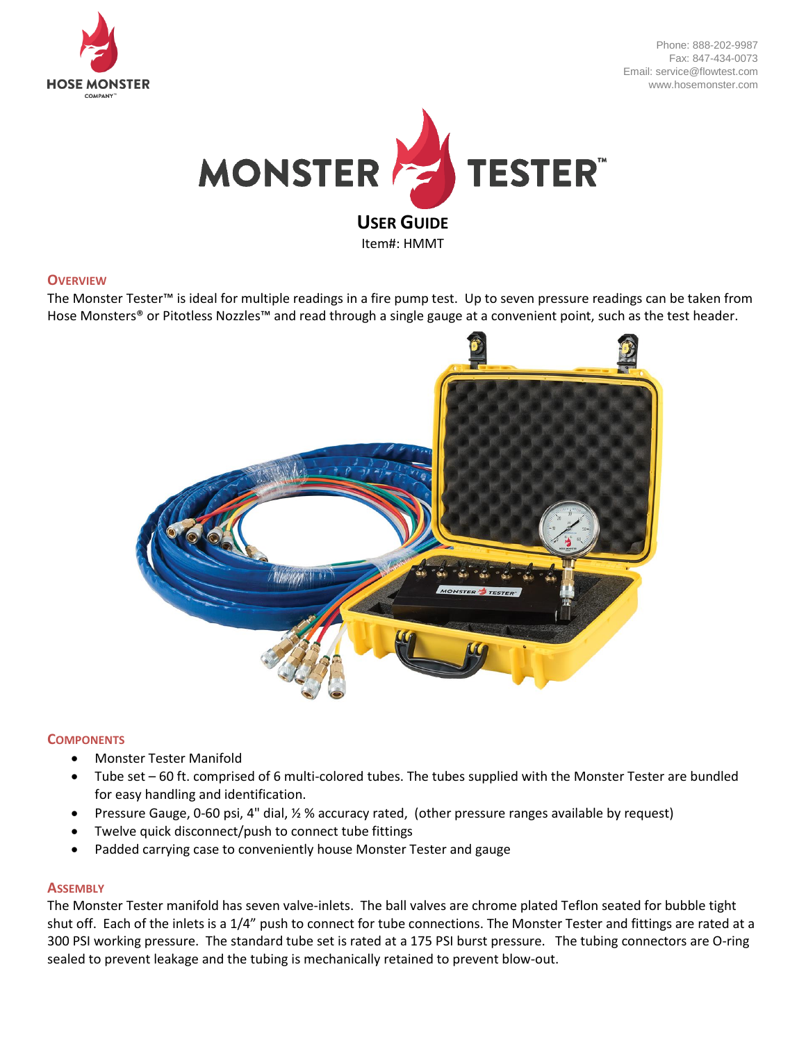

Phone: 888-202-9987 Fax: 847-434-0073 Email: service@flowtest.com www.hosemonster.com



#### **OVERVIEW**

The Monster Tester™ is ideal for multiple readings in a fire pump test. Up to seven pressure readings can be taken from Hose Monsters® or Pitotless Nozzles™ and read through a single gauge at a convenient point, such as the test header.



# **COMPONENTS**

- Monster Tester Manifold
- Tube set 60 ft. comprised of 6 multi-colored tubes. The tubes supplied with the Monster Tester are bundled for easy handling and identification.
- Pressure Gauge, 0-60 psi, 4" dial, ½ % accuracy rated, (other pressure ranges available by request)
- Twelve quick disconnect/push to connect tube fittings
- Padded carrying case to conveniently house Monster Tester and gauge

#### **ASSEMBLY**

The Monster Tester manifold has seven valve-inlets. The ball valves are chrome plated Teflon seated for bubble tight shut off. Each of the inlets is a 1/4" push to connect for tube connections. The Monster Tester and fittings are rated at a 300 PSI working pressure. The standard tube set is rated at a 175 PSI burst pressure. The tubing connectors are O-ring sealed to prevent leakage and the tubing is mechanically retained to prevent blow-out.